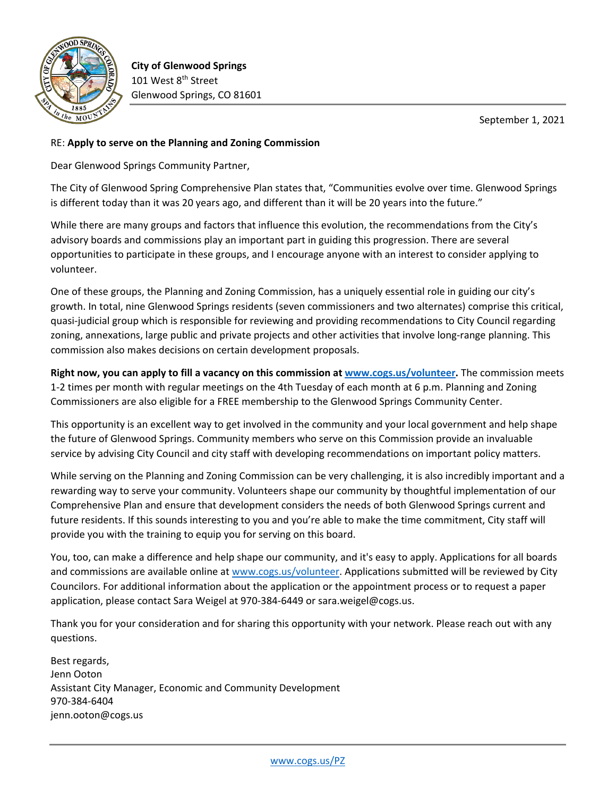

**City of Glenwood Springs** 101 West 8<sup>th</sup> Street Glenwood Springs, CO 81601

September 1, 2021

## RE: **Apply to serve on the Planning and Zoning Commission**

Dear Glenwood Springs Community Partner,

The City of Glenwood Spring Comprehensive Plan states that, "Communities evolve over time. Glenwood Springs is different today than it was 20 years ago, and different than it will be 20 years into the future."

While there are many groups and factors that influence this evolution, the recommendations from the City's advisory boards and commissions play an important part in guiding this progression. There are several opportunities to participate in these groups, and I encourage anyone with an interest to consider applying to volunteer.

One of these groups, the Planning and Zoning Commission, has a uniquely essential role in guiding our city's growth. In total, nine Glenwood Springs residents (seven commissioners and two alternates) comprise this critical, quasi-judicial group which is responsible for reviewing and providing recommendations to City Council regarding zoning, annexations, large public and private projects and other activities that involve long-range planning. This commission also makes decisions on certain development proposals.

**Right now, you can apply to fill a vacancy on this commission at [www.cogs.us/volunteer.](http://www.cogs.us/volunteer)** The commission meets 1-2 times per month with regular meetings on the 4th Tuesday of each month at 6 p.m. Planning and Zoning Commissioners are also eligible for a FREE membership to the Glenwood Springs Community Center.

This opportunity is an excellent way to get involved in the community and your local government and help shape the future of Glenwood Springs. Community members who serve on this Commission provide an invaluable service by advising City Council and city staff with developing recommendations on important policy matters.

While serving on the Planning and Zoning Commission can be very challenging, it is also incredibly important and a rewarding way to serve your community. Volunteers shape our community by thoughtful implementation of our Comprehensive Plan and ensure that development considers the needs of both Glenwood Springs current and future residents. If this sounds interesting to you and you're able to make the time commitment, City staff will provide you with the training to equip you for serving on this board.

You, too, can make a difference and help shape our community, and it's easy to apply. Applications for all boards and commissions are available online a[t www.cogs.us/volunteer.](http://www.cogs.us/volunteer) Applications submitted will be reviewed by City Councilors. For additional information about the application or the appointment process or to request a paper application, please contact Sara Weigel at 970-384-6449 or sara.weigel@cogs.us.

Thank you for your consideration and for sharing this opportunity with your network. Please reach out with any questions.

Best regards, Jenn Ooton Assistant City Manager, Economic and Community Development 970-384-6404 jenn.ooton@cogs.us